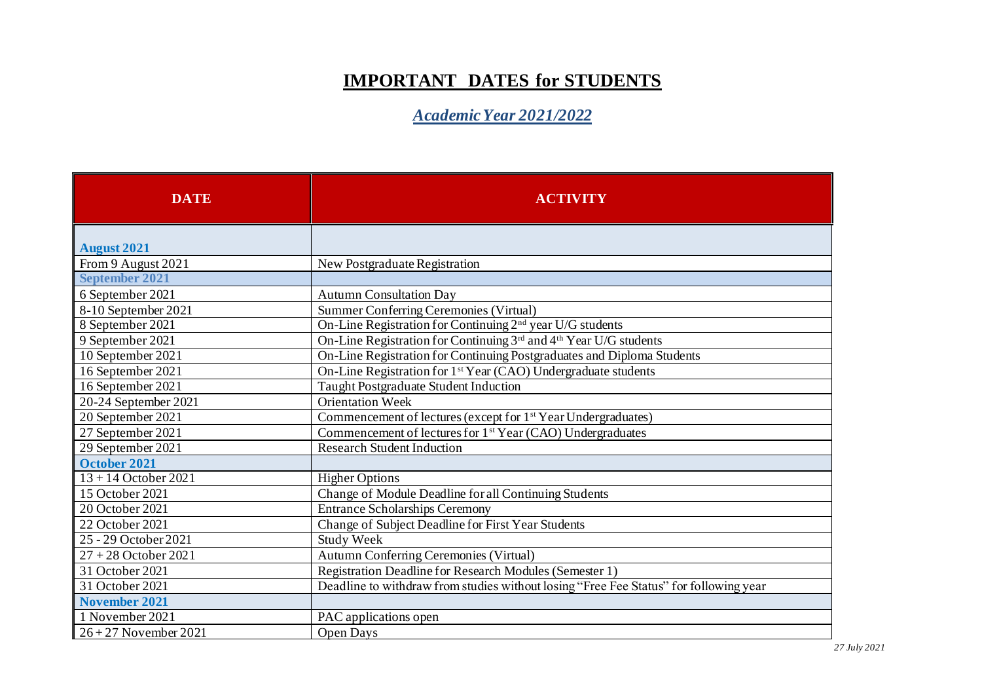## **IMPORTANT DATES for STUDENTS**

*Academic Year 2021/2022*

| <b>DATE</b>             | <b>ACTIVITY</b>                                                                       |
|-------------------------|---------------------------------------------------------------------------------------|
| <b>August 2021</b>      |                                                                                       |
| From 9 August 2021      | New Postgraduate Registration                                                         |
| <b>September 2021</b>   |                                                                                       |
| 6 September 2021        | <b>Autumn Consultation Day</b>                                                        |
| 8-10 September 2021     | Summer Conferring Ceremonies (Virtual)                                                |
| 8 September 2021        | On-Line Registration for Continuing 2 <sup>nd</sup> year U/G students                 |
| 9 September 2021        | On-Line Registration for Continuing 3rd and 4th Year U/G students                     |
| 10 September 2021       | On-Line Registration for Continuing Postgraduates and Diploma Students                |
| 16 September 2021       | On-Line Registration for 1 <sup>st</sup> Year (CAO) Undergraduate students            |
| 16 September 2021       | Taught Postgraduate Student Induction                                                 |
| 20-24 September 2021    | <b>Orientation Week</b>                                                               |
| 20 September 2021       | Commencement of lectures (except for 1 <sup>st</sup> Year Undergraduates)             |
| 27 September 2021       | Commencement of lectures for 1 <sup>st</sup> Year (CAO) Undergraduates                |
| 29 September 2021       | <b>Research Student Induction</b>                                                     |
| October 2021            |                                                                                       |
| $13 + 14$ October 2021  | <b>Higher Options</b>                                                                 |
| 15 October 2021         | Change of Module Deadline for all Continuing Students                                 |
| 20 October 2021         | <b>Entrance Scholarships Ceremony</b>                                                 |
| 22 October 2021         | Change of Subject Deadline for First Year Students                                    |
| 25 - 29 October 2021    | <b>Study Week</b>                                                                     |
| $27 + 28$ October 2021  | <b>Autumn Conferring Ceremonies (Virtual)</b>                                         |
| 31 October 2021         | Registration Deadline for Research Modules (Semester 1)                               |
| 31 October 2021         | Deadline to withdraw from studies without losing "Free Fee Status" for following year |
| <b>November 2021</b>    |                                                                                       |
| 1 November 2021         | PAC applications open                                                                 |
| $26 + 27$ November 2021 | <b>Open Days</b>                                                                      |